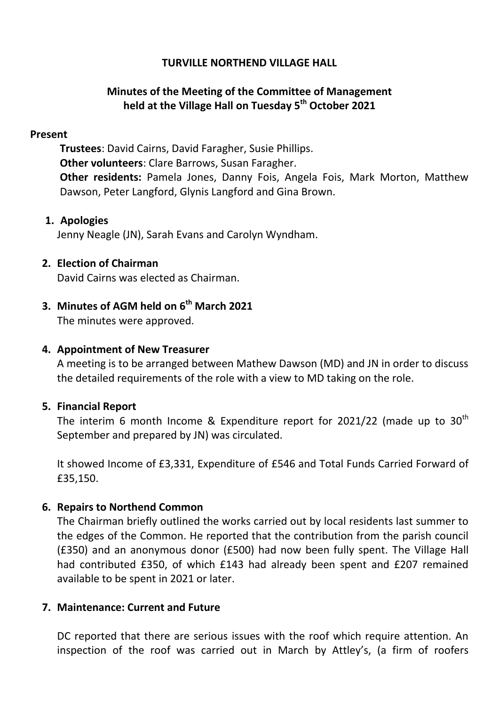## **TURVILLE NORTHEND VILLAGE HALL**

# **Minutes of the Meeting of the Committee of Management held at the Village Hall on Tuesday 5 th October 2021**

#### **Present**

**Trustees**: David Cairns, David Faragher, Susie Phillips. **Other volunteers**: Clare Barrows, Susan Faragher. **Other residents:** Pamela Jones, Danny Fois, Angela Fois, Mark Morton, Matthew Dawson, Peter Langford, Glynis Langford and Gina Brown.

## **1. Apologies**

Jenny Neagle (JN), Sarah Evans and Carolyn Wyndham.

## **2. Election of Chairman**

David Cairns was elected as Chairman.

# **3. Minutes of AGM held on 6 th March 2021**

The minutes were approved.

## **4. Appointment of New Treasurer**

A meeting is to be arranged between Mathew Dawson (MD) and JN in order to discuss the detailed requirements of the role with a view to MD taking on the role.

## **5. Financial Report**

The interim 6 month Income & Expenditure report for 2021/22 (made up to  $30<sup>th</sup>$ September and prepared by JN) was circulated.

It showed Income of £3,331, Expenditure of £546 and Total Funds Carried Forward of £35,150.

## **6. Repairs to Northend Common**

The Chairman briefly outlined the works carried out by local residents last summer to the edges of the Common. He reported that the contribution from the parish council (£350) and an anonymous donor (£500) had now been fully spent. The Village Hall had contributed £350, of which £143 had already been spent and £207 remained available to be spent in 2021 or later.

## **7. Maintenance: Current and Future**

DC reported that there are serious issues with the roof which require attention. An inspection of the roof was carried out in March by Attley's, (a firm of roofers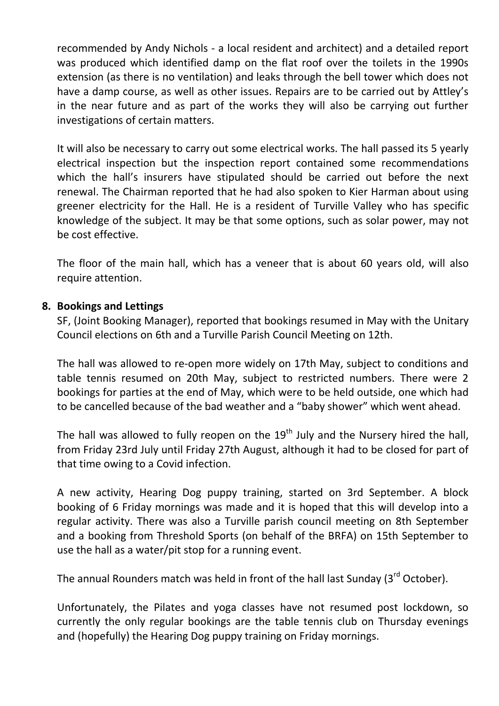recommended by Andy Nichols - a local resident and architect) and a detailed report was produced which identified damp on the flat roof over the toilets in the 1990s extension (as there is no ventilation) and leaks through the bell tower which does not have a damp course, as well as other issues. Repairs are to be carried out by Attley's in the near future and as part of the works they will also be carrying out further investigations of certain matters.

It will also be necessary to carry out some electrical works. The hall passed its 5 yearly electrical inspection but the inspection report contained some recommendations which the hall's insurers have stipulated should be carried out before the next renewal. The Chairman reported that he had also spoken to Kier Harman about using greener electricity for the Hall. He is a resident of Turville Valley who has specific knowledge of the subject. It may be that some options, such as solar power, may not be cost effective.

The floor of the main hall, which has a veneer that is about 60 years old, will also require attention.

#### **8. Bookings and Lettings**

SF, (Joint Booking Manager), reported that bookings resumed in May with the Unitary Council elections on 6th and a Turville Parish Council Meeting on 12th.

The hall was allowed to re-open more widely on 17th May, subject to conditions and table tennis resumed on 20th May, subject to restricted numbers. There were 2 bookings for parties at the end of May, which were to be held outside, one which had to be cancelled because of the bad weather and a "baby shower" which went ahead.

The hall was allowed to fully reopen on the  $19<sup>th</sup>$  July and the Nursery hired the hall, from Friday 23rd July until Friday 27th August, although it had to be closed for part of that time owing to a Covid infection.

A new activity, Hearing Dog puppy training, started on 3rd September. A block booking of 6 Friday mornings was made and it is hoped that this will develop into a regular activity. There was also a Turville parish council meeting on 8th September and a booking from Threshold Sports (on behalf of the BRFA) on 15th September to use the hall as a water/pit stop for a running event.

The annual Rounders match was held in front of the hall last Sunday ( $3<sup>rd</sup>$  October).

Unfortunately, the Pilates and yoga classes have not resumed post lockdown, so currently the only regular bookings are the table tennis club on Thursday evenings and (hopefully) the Hearing Dog puppy training on Friday mornings.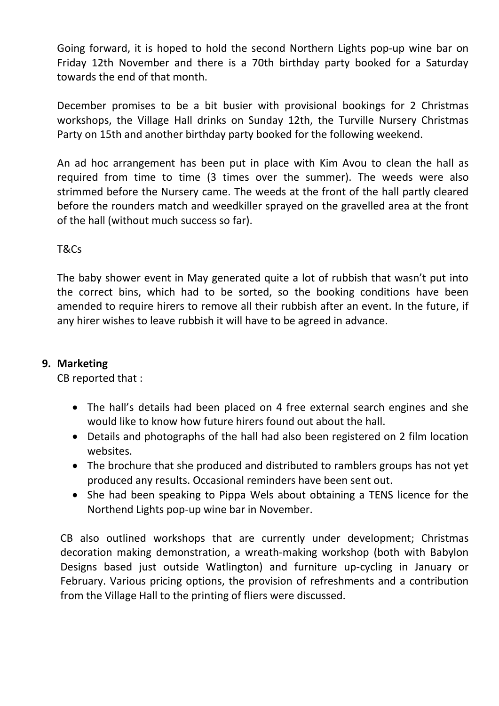Going forward, it is hoped to hold the second Northern Lights pop-up wine bar on Friday 12th November and there is a 70th birthday party booked for a Saturday towards the end of that month.

December promises to be a bit busier with provisional bookings for 2 Christmas workshops, the Village Hall drinks on Sunday 12th, the Turville Nursery Christmas Party on 15th and another birthday party booked for the following weekend.

An ad hoc arrangement has been put in place with Kim Avou to clean the hall as required from time to time (3 times over the summer). The weeds were also strimmed before the Nursery came. The weeds at the front of the hall partly cleared before the rounders match and weedkiller sprayed on the gravelled area at the front of the hall (without much success so far).

T&Cs

The baby shower event in May generated quite a lot of rubbish that wasn't put into the correct bins, which had to be sorted, so the booking conditions have been amended to require hirers to remove all their rubbish after an event. In the future, if any hirer wishes to leave rubbish it will have to be agreed in advance.

## **9. Marketing**

CB reported that :

- The hall's details had been placed on 4 free external search engines and she would like to know how future hirers found out about the hall.
- Details and photographs of the hall had also been registered on 2 film location websites.
- The brochure that she produced and distributed to ramblers groups has not yet produced any results. Occasional reminders have been sent out.
- She had been speaking to Pippa Wels about obtaining a TENS licence for the Northend Lights pop-up wine bar in November.

CB also outlined workshops that are currently under development; Christmas decoration making demonstration, a wreath-making workshop (both with Babylon Designs based just outside Watlington) and furniture up-cycling in January or February. Various pricing options, the provision of refreshments and a contribution from the Village Hall to the printing of fliers were discussed.